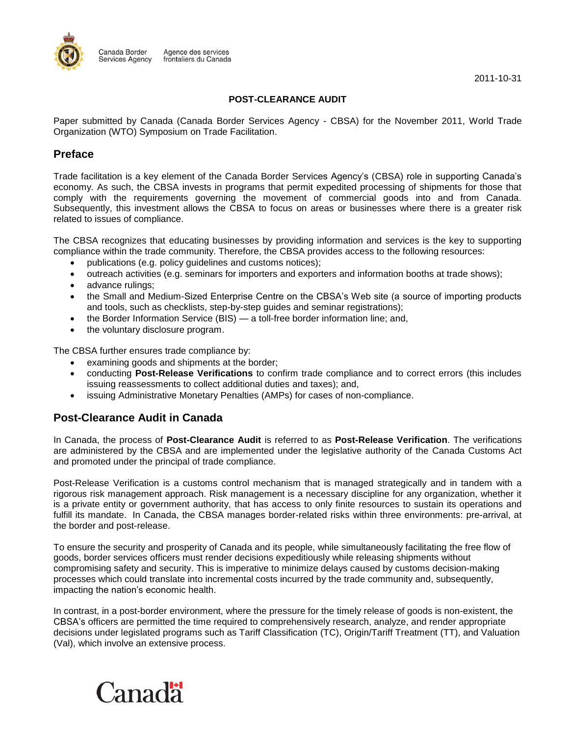

2011-10-31

#### **POST-CLEARANCE AUDIT**

Paper submitted by Canada (Canada Border Services Agency - CBSA) for the November 2011, World Trade Organization (WTO) Symposium on Trade Facilitation.

## **Preface**

Trade facilitation is a key element of the Canada Border Services Agency's (CBSA) role in supporting Canada's economy. As such, the CBSA invests in programs that permit expedited processing of shipments for those that comply with the requirements governing the movement of commercial goods into and from Canada. Subsequently, this investment allows the CBSA to focus on areas or businesses where there is a greater risk related to issues of compliance.

The CBSA recognizes that educating businesses by providing information and services is the key to supporting compliance within the trade community. Therefore, the CBSA provides access to the following resources:

- publications (e.g. policy guidelines and customs notices);
- outreach activities (e.g. seminars for importers and exporters and information booths at trade shows);
- advance rulings;
- the Small and Medium-Sized Enterprise Centre on the CBSA's Web site (a source of importing products and tools, such as checklists, step-by-step guides and seminar registrations);
- the Border Information Service (BIS) a toll-free border information line; and,
- the voluntary disclosure program.

The CBSA further ensures trade compliance by:

- examining goods and shipments at the border;
- conducting **Post-Release Verifications** to confirm trade compliance and to correct errors (this includes issuing reassessments to collect additional duties and taxes); and,
- issuing Administrative Monetary Penalties (AMPs) for cases of non-compliance.

# **Post-Clearance Audit in Canada**

In Canada, the process of **Post-Clearance Audit** is referred to as **Post-Release Verification**. The verifications are administered by the CBSA and are implemented under the legislative authority of the Canada Customs Act and promoted under the principal of trade compliance.

Post-Release Verification is a customs control mechanism that is managed strategically and in tandem with a rigorous risk management approach. Risk management is a necessary discipline for any organization, whether it is a private entity or government authority, that has access to only finite resources to sustain its operations and fulfill its mandate. In Canada, the CBSA manages border-related risks within three environments: pre-arrival, at the border and post-release.

To ensure the security and prosperity of Canada and its people, while simultaneously facilitating the free flow of goods, border services officers must render decisions expeditiously while releasing shipments without compromising safety and security. This is imperative to minimize delays caused by customs decision-making processes which could translate into incremental costs incurred by the trade community and, subsequently, impacting the nation's economic health.

In contrast, in a post-border environment, where the pressure for the timely release of goods is non-existent, the CBSA's officers are permitted the time required to comprehensively research, analyze, and render appropriate decisions under legislated programs such as Tariff Classification (TC), Origin/Tariff Treatment (TT), and Valuation (Val), which involve an extensive process.

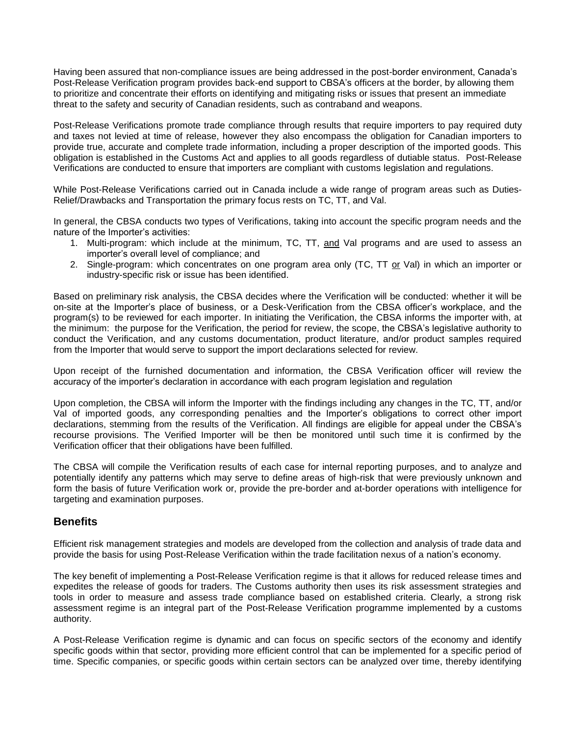Having been assured that non-compliance issues are being addressed in the post-border environment, Canada's Post-Release Verification program provides back-end support to CBSA's officers at the border, by allowing them to prioritize and concentrate their efforts on identifying and mitigating risks or issues that present an immediate threat to the safety and security of Canadian residents, such as contraband and weapons.

Post-Release Verifications promote trade compliance through results that require importers to pay required duty and taxes not levied at time of release, however they also encompass the obligation for Canadian importers to provide true, accurate and complete trade information, including a proper description of the imported goods. This obligation is established in the Customs Act and applies to all goods regardless of dutiable status. Post-Release Verifications are conducted to ensure that importers are compliant with customs legislation and regulations.

While Post-Release Verifications carried out in Canada include a wide range of program areas such as Duties-Relief/Drawbacks and Transportation the primary focus rests on TC, TT, and Val.

In general, the CBSA conducts two types of Verifications, taking into account the specific program needs and the nature of the Importer's activities:

- 1. Multi-program: which include at the minimum, TC, TT, and Val programs and are used to assess an importer's overall level of compliance; and
- 2. Single-program: which concentrates on one program area only (TC, TT or Val) in which an importer or industry-specific risk or issue has been identified.

Based on preliminary risk analysis, the CBSA decides where the Verification will be conducted: whether it will be on-site at the Importer's place of business, or a Desk-Verification from the CBSA officer's workplace, and the program(s) to be reviewed for each importer. In initiating the Verification, the CBSA informs the importer with, at the minimum: the purpose for the Verification, the period for review, the scope, the CBSA's legislative authority to conduct the Verification, and any customs documentation, product literature, and/or product samples required from the Importer that would serve to support the import declarations selected for review.

Upon receipt of the furnished documentation and information, the CBSA Verification officer will review the accuracy of the importer's declaration in accordance with each program legislation and regulation

Upon completion, the CBSA will inform the Importer with the findings including any changes in the TC, TT, and/or Val of imported goods, any corresponding penalties and the Importer's obligations to correct other import declarations, stemming from the results of the Verification. All findings are eligible for appeal under the CBSA's recourse provisions. The Verified Importer will be then be monitored until such time it is confirmed by the Verification officer that their obligations have been fulfilled.

The CBSA will compile the Verification results of each case for internal reporting purposes, and to analyze and potentially identify any patterns which may serve to define areas of high-risk that were previously unknown and form the basis of future Verification work or, provide the pre-border and at-border operations with intelligence for targeting and examination purposes.

## **Benefits**

Efficient risk management strategies and models are developed from the collection and analysis of trade data and provide the basis for using Post-Release Verification within the trade facilitation nexus of a nation's economy.

The key benefit of implementing a Post-Release Verification regime is that it allows for reduced release times and expedites the release of goods for traders. The Customs authority then uses its risk assessment strategies and tools in order to measure and assess trade compliance based on established criteria. Clearly, a strong risk assessment regime is an integral part of the Post-Release Verification programme implemented by a customs authority.

A Post-Release Verification regime is dynamic and can focus on specific sectors of the economy and identify specific goods within that sector, providing more efficient control that can be implemented for a specific period of time. Specific companies, or specific goods within certain sectors can be analyzed over time, thereby identifying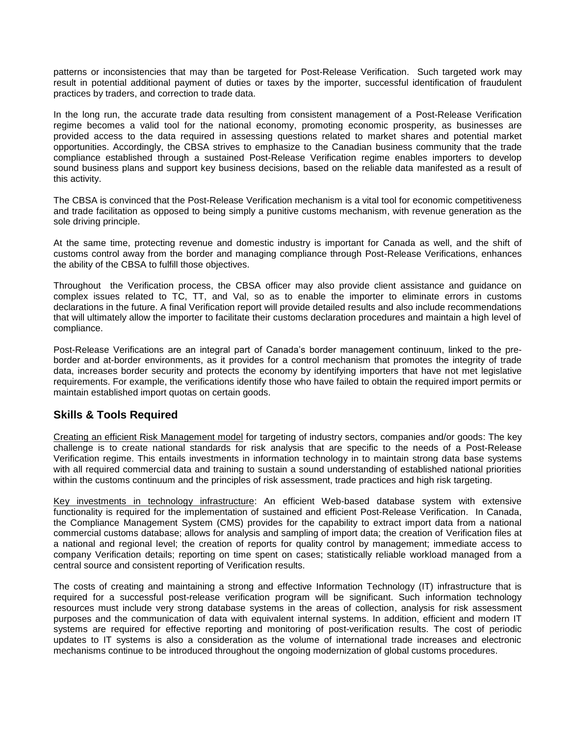patterns or inconsistencies that may than be targeted for Post-Release Verification. Such targeted work may result in potential additional payment of duties or taxes by the importer, successful identification of fraudulent practices by traders, and correction to trade data.

In the long run, the accurate trade data resulting from consistent management of a Post-Release Verification regime becomes a valid tool for the national economy, promoting economic prosperity, as businesses are provided access to the data required in assessing questions related to market shares and potential market opportunities. Accordingly, the CBSA strives to emphasize to the Canadian business community that the trade compliance established through a sustained Post-Release Verification regime enables importers to develop sound business plans and support key business decisions, based on the reliable data manifested as a result of this activity.

The CBSA is convinced that the Post-Release Verification mechanism is a vital tool for economic competitiveness and trade facilitation as opposed to being simply a punitive customs mechanism, with revenue generation as the sole driving principle.

At the same time, protecting revenue and domestic industry is important for Canada as well, and the shift of customs control away from the border and managing compliance through Post-Release Verifications, enhances the ability of the CBSA to fulfill those objectives.

Throughout the Verification process, the CBSA officer may also provide client assistance and guidance on complex issues related to TC, TT, and Val, so as to enable the importer to eliminate errors in customs declarations in the future. A final Verification report will provide detailed results and also include recommendations that will ultimately allow the importer to facilitate their customs declaration procedures and maintain a high level of compliance.

Post-Release Verifications are an integral part of Canada's border management continuum, linked to the preborder and at-border environments, as it provides for a control mechanism that promotes the integrity of trade data, increases border security and protects the economy by identifying importers that have not met legislative requirements. For example, the verifications identify those who have failed to obtain the required import permits or maintain established import quotas on certain goods.

## **Skills & Tools Required**

Creating an efficient Risk Management model for targeting of industry sectors, companies and/or goods: The key challenge is to create national standards for risk analysis that are specific to the needs of a Post-Release Verification regime. This entails investments in information technology in to maintain strong data base systems with all required commercial data and training to sustain a sound understanding of established national priorities within the customs continuum and the principles of risk assessment, trade practices and high risk targeting.

Key investments in technology infrastructure: An efficient Web-based database system with extensive functionality is required for the implementation of sustained and efficient Post-Release Verification. In Canada, the Compliance Management System (CMS) provides for the capability to extract import data from a national commercial customs database; allows for analysis and sampling of import data; the creation of Verification files at a national and regional level; the creation of reports for quality control by management; immediate access to company Verification details; reporting on time spent on cases; statistically reliable workload managed from a central source and consistent reporting of Verification results.

The costs of creating and maintaining a strong and effective Information Technology (IT) infrastructure that is required for a successful post-release verification program will be significant. Such information technology resources must include very strong database systems in the areas of collection, analysis for risk assessment purposes and the communication of data with equivalent internal systems. In addition, efficient and modern IT systems are required for effective reporting and monitoring of post-verification results. The cost of periodic updates to IT systems is also a consideration as the volume of international trade increases and electronic mechanisms continue to be introduced throughout the ongoing modernization of global customs procedures.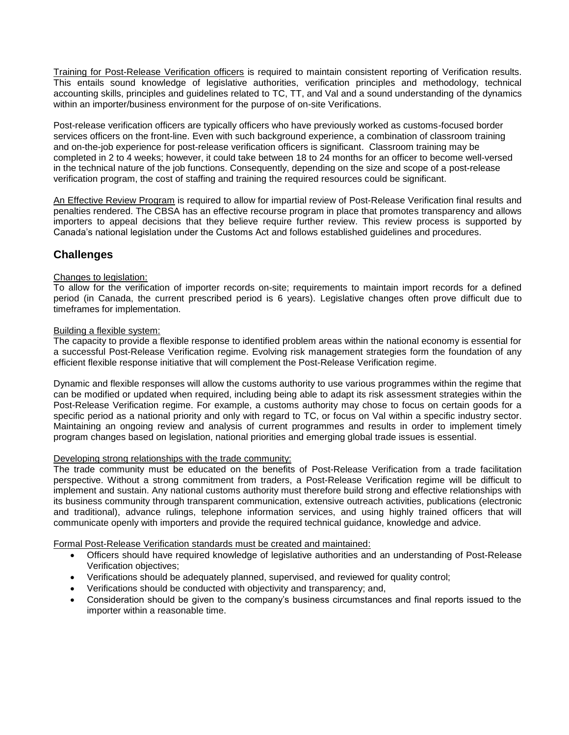Training for Post-Release Verification officers is required to maintain consistent reporting of Verification results. This entails sound knowledge of legislative authorities, verification principles and methodology, technical accounting skills, principles and guidelines related to TC, TT, and Val and a sound understanding of the dynamics within an importer/business environment for the purpose of on-site Verifications.

Post-release verification officers are typically officers who have previously worked as customs-focused border services officers on the front-line. Even with such background experience, a combination of classroom training and on-the-job experience for post-release verification officers is significant. Classroom training may be completed in 2 to 4 weeks; however, it could take between 18 to 24 months for an officer to become well-versed in the technical nature of the job functions. Consequently, depending on the size and scope of a post-release verification program, the cost of staffing and training the required resources could be significant.

An Effective Review Program is required to allow for impartial review of Post-Release Verification final results and penalties rendered. The CBSA has an effective recourse program in place that promotes transparency and allows importers to appeal decisions that they believe require further review. This review process is supported by Canada's national legislation under the Customs Act and follows established guidelines and procedures.

# **Challenges**

### Changes to legislation:

To allow for the verification of importer records on-site; requirements to maintain import records for a defined period (in Canada, the current prescribed period is 6 years). Legislative changes often prove difficult due to timeframes for implementation.

#### Building a flexible system:

The capacity to provide a flexible response to identified problem areas within the national economy is essential for a successful Post-Release Verification regime. Evolving risk management strategies form the foundation of any efficient flexible response initiative that will complement the Post-Release Verification regime.

Dynamic and flexible responses will allow the customs authority to use various programmes within the regime that can be modified or updated when required, including being able to adapt its risk assessment strategies within the Post-Release Verification regime. For example, a customs authority may chose to focus on certain goods for a specific period as a national priority and only with regard to TC, or focus on Val within a specific industry sector. Maintaining an ongoing review and analysis of current programmes and results in order to implement timely program changes based on legislation, national priorities and emerging global trade issues is essential.

#### Developing strong relationships with the trade community:

The trade community must be educated on the benefits of Post-Release Verification from a trade facilitation perspective. Without a strong commitment from traders, a Post-Release Verification regime will be difficult to implement and sustain. Any national customs authority must therefore build strong and effective relationships with its business community through transparent communication, extensive outreach activities, publications (electronic and traditional), advance rulings, telephone information services, and using highly trained officers that will communicate openly with importers and provide the required technical guidance, knowledge and advice.

Formal Post-Release Verification standards must be created and maintained:

- Officers should have required knowledge of legislative authorities and an understanding of Post-Release Verification objectives;
- Verifications should be adequately planned, supervised, and reviewed for quality control;
- Verifications should be conducted with objectivity and transparency; and,
- Consideration should be given to the company's business circumstances and final reports issued to the importer within a reasonable time.